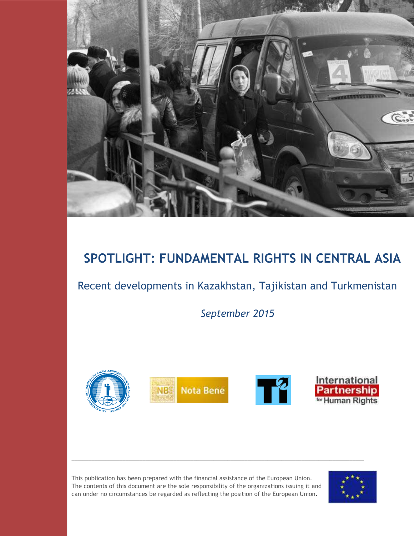

# **SPOTLIGHT: FUNDAMENTAL RIGHTS IN CENTRAL ASIA**

# Recent developments in Kazakhstan, Tajikistan and Turkmenistan

*September 2015*



This publication has been prepared with the financial assistance of the European Union. The contents of this document are the sole responsibility of the organizations issuing it and can under no circumstances be regarded as reflecting the position of the European Union.

\_\_\_\_\_\_\_\_\_\_\_\_\_\_\_\_\_\_\_\_\_\_\_\_\_\_\_\_\_\_\_\_\_\_\_\_\_\_\_\_\_\_\_\_\_\_\_\_\_\_\_\_\_\_\_\_\_\_\_\_\_\_\_\_\_\_\_\_\_\_\_\_\_\_\_\_\_\_\_\_\_\_\_\_\_\_\_\_\_\_\_\_\_\_\_\_\_\_\_\_\_\_\_

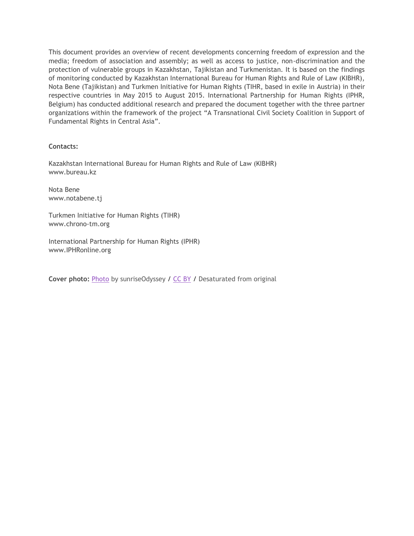This document provides an overview of recent developments concerning freedom of expression and the media; freedom of association and assembly; as well as access to justice, non-discrimination and the protection of vulnerable groups in Kazakhstan, Tajikistan and Turkmenistan. It is based on the findings of monitoring conducted by Kazakhstan International Bureau for Human Rights and Rule of Law (KIBHR), Nota Bene (Tajikistan) and Turkmen Initiative for Human Rights (TIHR, based in exile in Austria) in their respective countries in May 2015 to August 2015. International Partnership for Human Rights (IPHR, Belgium) has conducted additional research and prepared the document together with the three partner organizations within the framework of the project "A Transnational Civil Society Coalition in Support of Fundamental Rights in Central Asia".

**Contacts:**

Kazakhstan International Bureau for Human Rights and Rule of Law (KIBHR) www.bureau.kz

Nota Bene www.notabene.tj

Turkmen Initiative for Human Rights (TIHR) www.chrono-tm.org

International Partnership for Human Rights (IPHR) www.IPHRonline.org

**Cover photo:** [Photo](https://www.flickr.com/photos/sunriseodyssey/15949459897/) by sunriseOdyssey / [CC BY](http://creativecommons.org/licenses/by/2.0/) / Desaturated from original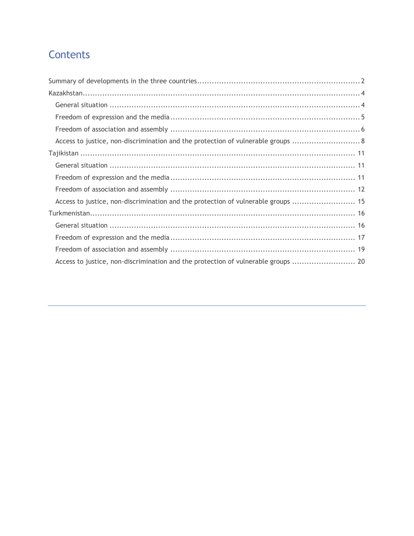# Contents

| Access to justice, non-discrimination and the protection of vulnerable groups  8  |
|-----------------------------------------------------------------------------------|
|                                                                                   |
|                                                                                   |
|                                                                                   |
|                                                                                   |
| Access to justice, non-discrimination and the protection of vulnerable groups  15 |
|                                                                                   |
|                                                                                   |
|                                                                                   |
|                                                                                   |
| Access to justice, non-discrimination and the protection of vulnerable groups  20 |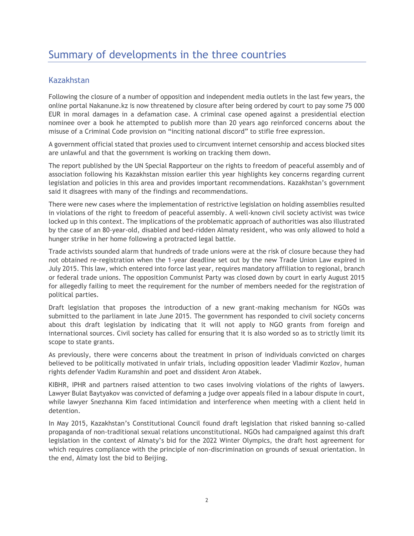# <span id="page-3-0"></span>Kazakhstan

Following the closure of a number of opposition and independent media outlets in the last few years, the online portal Nakanune.kz is now threatened by closure after being ordered by court to pay some 75 000 EUR in moral damages in a defamation case. A criminal case opened against a presidential election nominee over a book he attempted to publish more than 20 years ago reinforced concerns about the misuse of a Criminal Code provision on "inciting national discord" to stifle free expression.

A government official stated that proxies used to circumvent internet censorship and access blocked sites are unlawful and that the government is working on tracking them down.

The report published by the UN Special Rapporteur on the rights to freedom of peaceful assembly and of association following his Kazakhstan mission earlier this year highlights key concerns regarding current legislation and policies in this area and provides important recommendations. Kazakhstan's government said it disagrees with many of the findings and recommendations.

There were new cases where the implementation of restrictive legislation on holding assemblies resulted in violations of the right to freedom of peaceful assembly. A well-known civil society activist was twice locked up in this context. The implications of the problematic approach of authorities was also illustrated by the case of an 80-year-old, disabled and bed-ridden Almaty resident, who was only allowed to hold a hunger strike in her home following a protracted legal battle.

Trade activists sounded alarm that hundreds of trade unions were at the risk of closure because they had not obtained re-registration when the 1-year deadline set out by the new Trade Union Law expired in July 2015. This law, which entered into force last year, requires mandatory affiliation to regional, branch or federal trade unions. The opposition Communist Party was closed down by court in early August 2015 for allegedly failing to meet the requirement for the number of members needed for the registration of political parties.

Draft legislation that proposes the introduction of a new grant-making mechanism for NGOs was submitted to the parliament in late June 2015. The government has responded to civil society concerns about this draft legislation by indicating that it will not apply to NGO grants from foreign and international sources. Civil society has called for ensuring that it is also worded so as to strictly limit its scope to state grants.

As previously, there were concerns about the treatment in prison of individuals convicted on charges believed to be politically motivated in unfair trials, including opposition leader Vladimir Kozlov, human rights defender Vadim Kuramshin and poet and dissident Aron Atabek.

KIBHR, IPHR and partners raised attention to two cases involving violations of the rights of lawyers. Lawyer Bulat Baytyakov was convicted of defaming a judge over appeals filed in a labour dispute in court, while lawyer Snezhanna Kim faced intimidation and interference when meeting with a client held in detention.

In May 2015, Kazakhstan's Constitutional Council found draft legislation that risked banning so-called propaganda of non-traditional sexual relations unconstitutional. NGOs had campaigned against this draft legislation in the context of Almaty's bid for the 2022 Winter Olympics, the draft host agreement for which requires compliance with the principle of non-discrimination on grounds of sexual orientation. In the end, Almaty lost the bid to Beijing.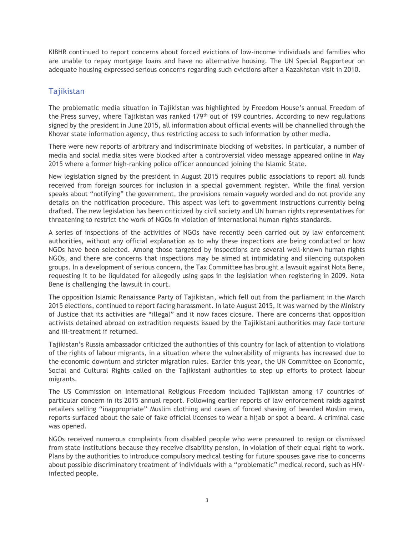KIBHR continued to report concerns about forced evictions of low-income individuals and families who are unable to repay mortgage loans and have no alternative housing. The UN Special Rapporteur on adequate housing expressed serious concerns regarding such evictions after a Kazakhstan visit in 2010.

## Tajikistan

The problematic media situation in Tajikistan was highlighted by Freedom House's annual Freedom of the Press survey, where Tajikistan was ranked 179<sup>th</sup> out of 199 countries. According to new regulations signed by the president in June 2015, all information about official events will be channelled through the Khovar state information agency, thus restricting access to such information by other media.

There were new reports of arbitrary and indiscriminate blocking of websites. In particular, a number of media and social media sites were blocked after a controversial video message appeared online in May 2015 where a former high-ranking police officer announced joining the Islamic State.

New legislation signed by the president in August 2015 requires public associations to report all funds received from foreign sources for inclusion in a special government register. While the final version speaks about "notifying" the government, the provisions remain vaguely worded and do not provide any details on the notification procedure. This aspect was left to government instructions currently being drafted. The new legislation has been criticized by civil society and UN human rights representatives for threatening to restrict the work of NGOs in violation of international human rights standards.

A series of inspections of the activities of NGOs have recently been carried out by law enforcement authorities, without any official explanation as to why these inspections are being conducted or how NGOs have been selected. Among those targeted by inspections are several well-known human rights NGOs, and there are concerns that inspections may be aimed at intimidating and silencing outspoken groups. In a development of serious concern, the Tax Committee has brought a lawsuit against Nota Bene, requesting it to be liquidated for allegedly using gaps in the legislation when registering in 2009. Nota Bene is challenging the lawsuit in court.

The opposition Islamic Renaissance Party of Tajikistan, which fell out from the parliament in the March 2015 elections, continued to report facing harassment. In late August 2015, it was warned by the Ministry of Justice that its activities are "illegal" and it now faces closure. There are concerns that opposition activists detained abroad on extradition requests issued by the Tajikistani authorities may face torture and ill-treatment if returned.

Tajikistan's Russia ambassador criticized the authorities of this country for lack of attention to violations of the rights of labour migrants, in a situation where the vulnerability of migrants has increased due to the economic downturn and stricter migration rules. Earlier this year, the UN Committee on Economic, Social and Cultural Rights called on the Tajikistani authorities to step up efforts to protect labour migrants.

The US Commission on International Religious Freedom included Tajikistan among 17 countries of particular concern in its 2015 annual report. Following earlier reports of law enforcement raids against retailers selling "inappropriate" Muslim clothing and cases of forced shaving of bearded Muslim men, reports surfaced about the sale of fake official licenses to wear a hijab or spot a beard. A criminal case was opened.

NGOs received numerous complaints from disabled people who were pressured to resign or dismissed from state institutions because they receive disability pension, in violation of their equal right to work. Plans by the authorities to introduce compulsory medical testing for future spouses gave rise to concerns about possible discriminatory treatment of individuals with a "problematic" medical record, such as HIVinfected people.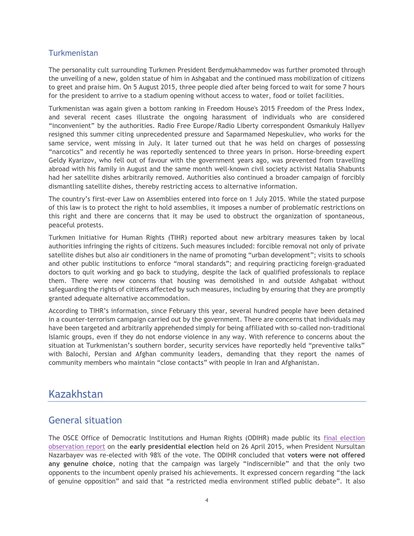### **Turkmenistan**

The personality cult surrounding Turkmen President Berdymukhammedov was further promoted through the unveiling of a new, golden statue of him in Ashgabat and the continued mass mobilization of citizens to greet and praise him. On 5 August 2015, three people died after being forced to wait for some 7 hours for the president to arrive to a stadium opening without access to water, food or toilet facilities.

Turkmenistan was again given a bottom ranking in Freedom House's 2015 Freedom of the Press Index, and several recent cases illustrate the ongoing harassment of individuals who are considered "inconvenient" by the authorities. Radio Free Europe/Radio Liberty correspondent Osmankuly Hallyev resigned this summer citing unprecedented pressure and Saparmamed Nepeskuliev, who works for the same service, went missing in July. It later turned out that he was held on charges of possessing "narcotics" and recently he was reportedly sentenced to three years in prison. Horse-breeding expert Geldy Kyarizov, who fell out of favour with the government years ago, was prevented from travelling abroad with his family in August and the same month well-known civil society activist Natalia Shabunts had her satellite dishes arbitrarily removed. Authorities also continued a broader campaign of forcibly dismantling satellite dishes, thereby restricting access to alternative information.

The country's first-ever Law on Assemblies entered into force on 1 July 2015. While the stated purpose of this law is to protect the right to hold assemblies, it imposes a number of problematic restrictions on this right and there are concerns that it may be used to obstruct the organization of spontaneous, peaceful protests.

Turkmen Initiative for Human Rights (TIHR) reported about new arbitrary measures taken by local authorities infringing the rights of citizens. Such measures included: forcible removal not only of private satellite dishes but also air conditioners in the name of promoting "urban development"; visits to schools and other public institutions to enforce "moral standards"; and requiring practicing foreign-graduated doctors to quit working and go back to studying, despite the lack of qualified professionals to replace them. There were new concerns that housing was demolished in and outside Ashgabat without safeguarding the rights of citizens affected by such measures, including by ensuring that they are promptly granted adequate alternative accommodation.

According to TIHR's information, since February this year, several hundred people have been detained in a counter-terrorism campaign carried out by the government. There are concerns that individuals may have been targeted and arbitrarily apprehended simply for being affiliated with so-called non-traditional Islamic groups, even if they do not endorse violence in any way. With reference to concerns about the situation at Turkmenistan's southern border, security services have reportedly held "preventive talks" with Balochi, Persian and Afghan community leaders, demanding that they report the names of community members who maintain "close contacts" with people in Iran and Afghanistan.

# <span id="page-5-0"></span>Kazakhstan

# <span id="page-5-1"></span>General situation

The OSCE Office of Democratic Institutions and Human Rights (ODIHR) made public its [final election](http://www.osce.org/odihr/elections/kazakhstan/174811)  [observation report](http://www.osce.org/odihr/elections/kazakhstan/174811) on the **early presidential election** held on 26 April 2015, when President Nursultan Nazarbayev was re-elected with 98% of the vote. The ODIHR concluded that **voters were not offered any genuine choice**, noting that the campaign was largely "indiscernible" and that the only two opponents to the incumbent openly praised his achievements. It expressed concern regarding "the lack of genuine opposition" and said that "a restricted media environment stifled public debate". It also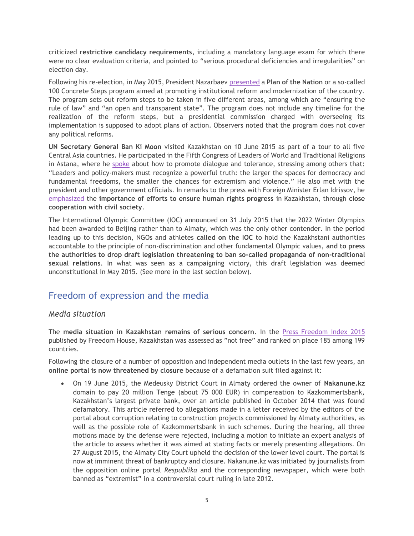criticized **restrictive candidacy requirements**, including a mandatory language exam for which there were no clear evaluation criteria, and pointed to "serious procedural deficiencies and irregularities" on election day.

Following his re-election, in May 2015, President Nazarbaev [presented](http://www.vestifinance.ru/articles/57619) a **Plan of the Nation** or a so-called 100 Concrete Steps program aimed at promoting institutional reform and modernization of the country. The program sets out reform steps to be taken in five different areas, among which are "ensuring the rule of law" and "an open and transparent state". The program does not include any timeline for the realization of the reform steps, but a presidential commission charged with overseeing its implementation is supposed to adopt plans of action. Observers noted that the program does not cover any political reforms.

**UN Secretary General Ban Ki Moon** visited Kazakhstan on 10 June 2015 as part of a tour to all five Central Asia countries. He participated in the Fifth Congress of Leaders of World and Traditional Religions in Astana, where he [spoke](http://www.un.org/sg/statements/index.asp?nid=8717) about how to promote dialogue and tolerance, stressing among others that: "Leaders and policy-makers must recognize a powerful truth: the larger the spaces for democracy and fundamental freedoms, the smaller the chances for extremism and violence." He also met with the president and other government officials. In remarks to the press with Foreign Minister Erlan Idrissov, he [emphasized](http://www.un.org/apps/news/infocus/sgspeeches/statments_full.asp?statID=2643#.Veko4JccZG4) the **importance of efforts to ensure human rights progress** in Kazakhstan, through **close cooperation with civil society**.

The International Olympic Committee (IOC) announced on 31 July 2015 that the 2022 Winter Olympics had been awarded to Beijing rather than to Almaty, which was the only other contender. In the period leading up to this decision, NGOs and athletes **called on the IOC** to hold the Kazakhstani authorities accountable to the principle of non-discrimination and other fundamental Olympic values, **and to press the authorities to drop draft legislation threatening to ban so-called propaganda of non-traditional sexual relations**. In what was seen as a campaigning victory, this draft legislation was deemed unconstitutional in May 2015. (See more in the last section below).

# <span id="page-6-0"></span>Freedom of expression and the media

### *Media situation*

The **media situation in Kazakhstan remains of serious concern**. In the [Press Freedom Index 2015](https://www.google.ru/url?sa=t&rct=j&q=&esrc=s&source=web&cd=1&ved=0CBwQFjAAahUKEwjiwNHUvt_HAhXia3IKHXPpBbk&url=https%3A%2F%2Findex.rsf.org%2F&usg=AFQjCNFo7YmVgxAjeaN0ECFt7-1cs34KJA&sig2=03a7E9zINB-F3D1UpBkoiA&bvm=bv.102022582,d.bGQ&cad=rjt) published by Freedom House, Kazakhstan was assessed as "not free" and ranked on place 185 among 199 countries.

Following the closure of a number of opposition and independent media outlets in the last few years, an **online portal is now threatened by closure** because of a defamation suit filed against it:

 On 19 June 2015, the Medeusky District Court in Almaty ordered the owner of **Nakanune.kz** domain to pay 20 million Tenge (about 75 000 EUR) in compensation to Kazkommertsbank, Kazakhstan's largest private bank, over an article published in October 2014 that was found defamatory. This article referred to allegations made in a letter received by the editors of the portal about corruption relating to construction projects commissioned by Almaty authorities, as well as the possible role of Kazkommertsbank in such schemes. During the hearing, all three motions made by the defense were rejected, including a motion to initiate an expert analysis of the article to assess whether it was aimed at stating facts or merely presenting allegations. On 27 August 2015, the Almaty City Court upheld the decision of the lower level court. The portal is now at imminent threat of bankruptcy and closure. Nakanune.kz was initiated by journalists from the opposition online portal *Respublika* and the corresponding newspaper, which were both banned as "extremist" in a controversial court ruling in late 2012.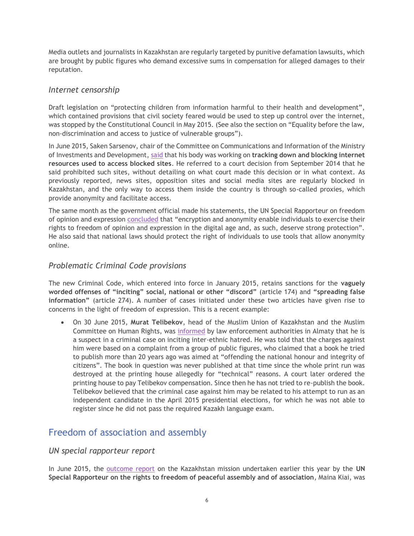Media outlets and journalists in Kazakhstan are regularly targeted by punitive defamation lawsuits, which are brought by public figures who demand excessive sums in compensation for alleged damages to their reputation.

#### *Internet censorship*

Draft legislation on "protecting children from information harmful to their health and development", which contained provisions that civil society feared would be used to step up control over the internet, was stopped by the Constitutional Council in May 2015. (See also the section on "Equality before the law, non-discrimination and access to justice of vulnerable groups").

In June 2015, Saken Sarsenov, chair of the Committee on Communications and Information of the Ministry of Investments and Development, [said](http://www.kursiv.kz/news/details/obshestvo/anonimayzery_vne_zakona_kazakhstantsev_budut_sazhat_za_proksi_servery_847/) that his body was working on **tracking down and blocking internet resources used to access blocked sites**. He referred to a court decision from September 2014 that he said prohibited such sites, without detailing on what court made this decision or in what context. As previously reported, news sites, opposition sites and social media sites are regularly blocked in Kazakhstan, and the only way to access them inside the country is through so-called proxies, which provide anonymity and facilitate access.

The same month as the government official made his statements, the UN Special Rapporteur on freedom of opinion and expression [concluded](http://www.ohchr.org/EN/Issues/FreedomOpinion/Pages/CallForSubmission.aspx) that "encryption and anonymity enable individuals to exercise their rights to freedom of opinion and expression in the digital age and, as such, deserve strong protection". He also said that national laws should protect the right of individuals to use tools that allow anonymity online.

#### *Problematic Criminal Code provisions*

The new Criminal Code, which entered into force in January 2015, retains sanctions for the **vaguely worded offenses of "inciting" social, national or other "discord"** (article 174) and **"spreading false information"** (article 274). A number of cases initiated under these two articles have given rise to concerns in the light of freedom of expression. This is a recent example:

 On 30 June 2015, **Murat Telibekov**, head of the Muslim Union of Kazakhstan and the Muslim Committee on Human Rights, was [informed](http://www.bureau.kz/novosti/sobstvennaya_informaciya/veter_s_ulicy_razjeg_plamya_nenavisti) by law enforcement authorities in Almaty that he is a suspect in a criminal case on inciting inter-ethnic hatred. He was told that the charges against him were based on a complaint from a group of public figures, who claimed that a book he tried to publish more than 20 years ago was aimed at "offending the national honour and integrity of citizens". The book in question was never published at that time since the whole print run was destroyed at the printing house allegedly for "technical" reasons. A court later ordered the printing house to pay Telibekov compensation. Since then he has not tried to re-publish the book. Telibekov believed that the criminal case against him may be related to his attempt to run as an independent candidate in the April 2015 presidential elections, for which he was not able to register since he did not pass the required Kazakh language exam.

# <span id="page-7-0"></span>Freedom of association and assembly

#### *UN special rapporteur report*

In June 2015, the [outcome report](http://freeassembly.net/rapporteurreports/kazakhstan/) on the Kazakhstan mission undertaken earlier this year by the **UN Special Rapporteur on the rights to freedom of peaceful assembly and of association**, Maina Kiai, was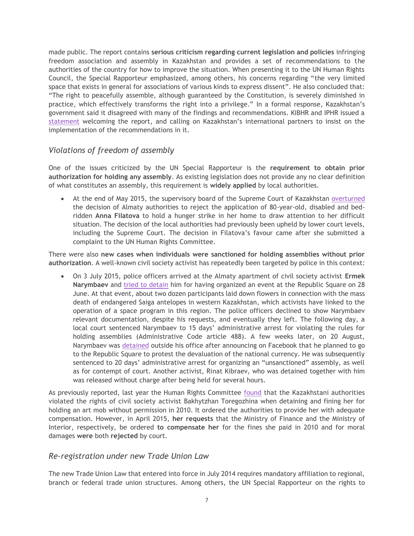made public. The report contains **serious criticism regarding current legislation and policies** infringing freedom association and assembly in Kazakhstan and provides a set of recommendations to the authorities of the country for how to improve the situation. When presenting it to the UN Human Rights Council, the Special Rapporteur emphasized, among others, his concerns regarding "the very limited space that exists in general for associations of various kinds to express dissent". He also concluded that: "The right to peacefully assemble, although guaranteed by the Constitution, is severely diminished in practice, which effectively transforms the right into a privilege." In a formal response, Kazakhstan's government said it disagreed with many of the findings and recommendations. KIBHR and IPHR issued a [statement](http://www.iphronline.org/kazakhstan-un-expert-highlights-key-freedom-of-association-and-assembly-concerns.html) welcoming the report, and calling on Kazakhstan's international partners to insist on the implementation of the recommendations in it.

### *Violations of freedom of assembly*

One of the issues criticized by the UN Special Rapporteur is the **requirement to obtain prior authorization for holding any assembly**. As existing legislation does not provide any no clear definition of what constitutes an assembly, this requirement is **widely applied** by local authorities.

 At the end of May 2015, the supervisory board of the Supreme Court of Kazakhstan [overturned](http://rus.azattyq.org/content/oon-pravo-protestovat-doma-golodovka-anna-filatova/27023077.html) the decision of Almaty authorities to reject the application of 80-year-old, disabled and bedridden **Anna Filatova** to hold a hunger strike in her home to draw attention to her difficult situation. The decision of the local authorities had previously been upheld by lower court levels, including the Supreme Court. The decision in Filatova's favour came after she submitted a complaint to the UN Human Rights Committee.

There were also **new cases when individuals were sanctioned for holding assemblies without prior authorization**. A well-known civil society activist has repeatedly been targeted by police in this context:

 On 3 July 2015, police officers arrived at the Almaty apartment of civil society activist **Ermek Narymbaev** and [tried to detain](http://bureau.kz/novosti/sobstvennaya_informaciya/my_stali_bezmolvnymi_saigakami) him for having organized an event at the Republic Square on 28 June. At that event, about two dozen participants laid down flowers in connection with the mass death of endangered Saiga antelopes in western Kazakhstan, which activists have linked to the operation of a space program in this region. The police officers declined to show Narymbaev relevant documentation, despite his requests, and eventually they left. The following day, a local court sentenced Narymbaev to 15 days' administrative arrest for violating the rules for holding assemblies (Administrative Code article 488). A few weeks later, on 20 August, Narymbaev was [detained](http://bureau.kz/novosti/sobstvennaya_informaciya/novaya_devalvaciya_novoe_presechenie_nedovolstva) outside his office after announcing on Facebook that he planned to go to the Republic Square to protest the devaluation of the national currency. He was subsequently sentenced to 20 days' administrative arrest for organizing an "unsanctioned" assembly, as well as for contempt of court. Another activist, Rinat Kibraev, who was detained together with him was released without charge after being held for several hours.

As previously reported, last year the Human Rights Committee [found](http://tbinternet.ohchr.org/_layouts/treatybodyexternal/Download.aspx?symbolno=CCPR%2FC%2F112%2FD%2F2137%2F2012&Lang=en) that the Kazakhstani authorities violated the rights of civil society activist Bakhytzhan Toregozhina when detaining and fining her for holding an art mob without permission in 2010. It ordered the authorities to provide her with adequate compensation. However, in April 2015, **her requests** that the Ministry of Finance and the Ministry of Interior, respectively, be ordered **to compensate her** for the fines she paid in 2010 and for moral damages **were** both **rejected** by court.

#### *Re-registration under new Trade Union Law*

The new Trade Union Law that entered into force in July 2014 requires mandatory affiliation to regional, branch or federal trade union structures. Among others, the UN Special Rapporteur on the rights to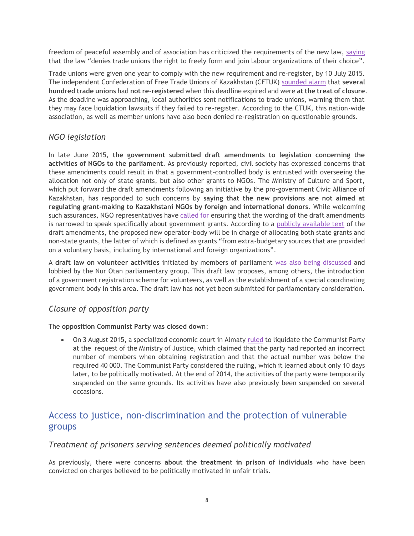freedom of peaceful assembly and of association has criticized the requirements of the new law, [saying](http://freeassembly.net/rapporteurreports/kazakhstan/) that the law "denies trade unions the right to freely form and join labour organizations of their choice".

Trade unions were given one year to comply with the new requirement and re-register, by 10 July 2015. The independent Confederation of Free Trade Unions of Kazakhstan (CFTUK) [sounded alarm](http://www.kspk.org/index.php/tribune/statements/item/55-address-of-the-confederation-of-free-trade-unions-of-the-republic-of-kazakhstan-to-the-international-community) that **several hundred trade unions** had **not re-registered** when this deadline expired and were **at the treat of closure**. As the deadline was approaching, local authorities sent notifications to trade unions, warning them that they may face liquidation lawsuits if they failed to re-register. According to the CTUK, this nation-wide association, as well as member unions have also been denied re-registration on questionable grounds.

## *NGO legislation*

In late June 2015, **the government submitted draft amendments to legislation concerning the activities of NGOs to the parliament**. As previously reported, civil society has expressed concerns that these amendments could result in that a government-controlled body is entrusted with overseeing the allocation not only of state grants, but also other grants to NGOs. The Ministry of Culture and Sport, which put forward the draft amendments following an initiative by the pro-government Civic Alliance of Kazakhstan, has responded to such concerns by **saying that the new provisions are not aimed at regulating grant-making to Kazakhstani NGOs by foreign and international donors**. While welcoming such assurances, NGO representatives have [called for](http://bureau.kz/novosti/sobstvennaya_informaciya/v_astane_proshlo_zasedanie_rabochikh_podgrupp) ensuring that the wording of the draft amendments is narrowed to speak specifically about government grants. According to a [publicly available text](http://online.zakon.kz/Document/?doc_id=37644295) of the draft amendments, the proposed new operator-body will be in charge of allocating both state grants and non-state grants, the latter of which is defined as grants "from extra-budgetary sources that are provided on a voluntary basis, including by international and foreign organizations".

A **draft law on volunteer activities** initiated by members of parliament [was also being discussed](http://rus.azattyq.org/content/zakonoproekt-o-volontyorakh-v-kazakhstane/27013663.html) and lobbied by the Nur Otan parliamentary group. This draft law proposes, among others, the introduction of a government registration scheme for volunteers, as well as the establishment of a special coordinating government body in this area. The draft law has not yet been submitted for parliamentary consideration.

### *Closure of opposition party*

The **opposition Communist Party was closed down**:

 On 3 August 2015, a specialized economic court in Almaty [ruled](http://rus.azattyq.org/content/oppozitsionnaya-kompartiya-kazakhstana-zakrytie/27190500.html) to liquidate the Communist Party at the request of the Ministry of Justice, which claimed that the party had reported an incorrect number of members when obtaining registration and that the actual number was below the required 40 000. The Communist Party considered the ruling, which it learned about only 10 days later, to be politically motivated. At the end of 2014, the activities of the party were temporarily suspended on the same grounds. Its activities have also previously been suspended on several occasions.

# <span id="page-9-0"></span>Access to justice, non-discrimination and the protection of vulnerable groups

#### *Treatment of prisoners serving sentences deemed politically motivated*

As previously, there were concerns **about the treatment in prison of individuals** who have been convicted on charges believed to be politically motivated in unfair trials.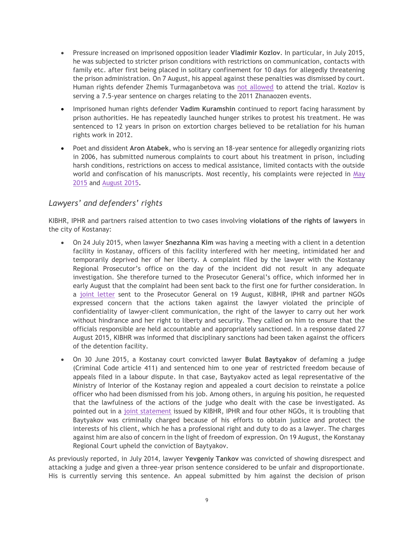- Pressure increased on imprisoned opposition leader **Vladimir Kozlov**. In particular, in July 2015, he was subjected to stricter prison conditions with restrictions on communication, contacts with family etc. after first being placed in solitary confinement for 10 days for allegedly threatening the prison administration. On 7 August, his appeal against these penalties was dismissed by court. Human rights defender Zhemis Turmaganbetova was [not allowed](http://bureau.kz/novosti/sobstvennaya_informaciya/obrashenie_k_generalnomu_prokuroru_po_narusheniyam) to attend the trial. Kozlov is serving a 7.5-year sentence on charges relating to the 2011 Zhanaozen events.
- Imprisoned human rights defender **Vadim Kuramshin** continued to report facing harassment by prison authorities. He has repeatedly launched hunger strikes to protest his treatment. He was sentenced to 12 years in prison on extortion charges believed to be retaliation for his human rights work in 2012.
- Poet and dissident **Aron Atabek**, who is serving an 18-year sentence for allegedly organizing riots in 2006, has submitted numerous complaints to court about his treatment in prison, including harsh conditions, restrictions on access to medical assistance, limited contacts with the outside world and confiscation of his manuscripts. Most recently, his complaints were rejected in May [2015](http://aronatabek.com/v-iske-arona-atabeka-protiv-kuis-otkazano.html) and [August 2015.](http://rus.azattyq.mobi/a/aron-atabek-rukopisi-uslovia-zakluchenia/27195834.html)

### *Lawyers' and defenders' rights*

KIBHR, IPHR and partners raised attention to two cases involving **violations of the rights of lawyers** in the city of Kostanay:

- On 24 July 2015, when lawyer **Snezhanna Kim** was having a meeting with a client in a detention facility in Kostanay, officers of this facility interfered with her meeting, intimidated her and temporarily deprived her of her liberty. A complaint filed by the lawyer with the Kostanay Regional Prosecutor's office on the day of the incident did not result in any adequate investigation. She therefore turned to the Prosecutor General's office, which informed her in early August that the complaint had been sent back to the first one for further consideration. In a [joint letter](http://www.iphronline.org/kazakhstan-open-letter-on-violations-of-lawyers-rights-20150819.html) sent to the Prosecutor General on 19 August, KIBHR, IPHR and partner NGOs expressed concern that the actions taken against the lawyer violated the principle of confidentiality of lawyer-client communication, the right of the lawyer to carry out her work without hindrance and her right to liberty and security. They called on him to ensure that the officials responsible are held accountable and appropriately sanctioned. In a response dated 27 August 2015, KIBHR was informed that disciplinary sanctions had been taken against the officers of the detention facility.
- On 30 June 2015, a Kostanay court convicted lawyer **Bulat Baytyakov** of defaming a judge (Criminal Code article 411) and sentenced him to one year of restricted freedom because of appeals filed in a labour dispute. In that case, Baytyakov acted as legal representative of the Ministry of Interior of the Kostanay region and appealed a court decision to reinstate a police officer who had been dismissed from his job. Among others, in arguing his position, he requested that the lawfulness of the actions of the judge who dealt with the case be investigated. As pointed out in a [joint statement](http://www.iphronline.org/kazakhstan-clear-lawyer-of-criminal-defamation-charges-20150714.html) issued by KIBHR, IPHR and four other NGOs, it is troubling that Baytyakov was criminally charged because of his efforts to obtain justice and protect the interests of his client, which he has a professional right and duty to do as a lawyer. The charges against him are also of concern in the light of freedom of expression. On 19 August, the Konstanay Regional Court upheld the conviction of Baytyakov.

As previously reported, in July 2014, lawyer **Yevgeniy Tankov** was convicted of showing disrespect and attacking a judge and given a three-year prison sentence considered to be unfair and disproportionate. His is currently serving this sentence. An appeal submitted by him against the decision of prison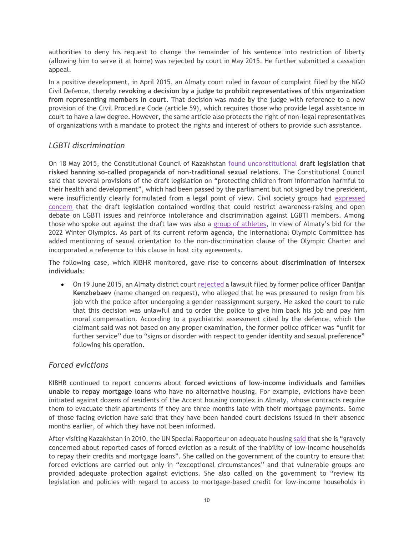authorities to deny his request to change the remainder of his sentence into restriction of liberty (allowing him to serve it at home) was rejected by court in May 2015. He further submitted a cassation appeal.

In a positive development, in April 2015, an Almaty court ruled in favour of complaint filed by the NGO Civil Defence, thereby **revoking a decision by a judge to prohibit representatives of this organization from representing members in court**. That decision was made by the judge with reference to a new provision of the Civil Procedure Code (article 59), which requires those who provide legal assistance in court to have a law degree. However, the same article also protects the right of non-legal representatives of organizations with a mandate to protect the rights and interest of others to provide such assistance.

### *LGBTI discrimination*

On 18 May 2015, the Constitutional Council of Kazakhstan [found unconstitutional](http://www.interfax.ru/world/443895) **draft legislation that risked banning so-called propaganda of non-traditional sexual relations**. The Constitutional Council said that several provisions of the draft legislation on "protecting children from information harmful to their health and development", which had been passed by the parliament but not signed by the president, were insufficiently clearly formulated from a legal point of view. Civil society groups had [expressed](http://www.iphronline.org/ioc-letter-on-kazakhstan-20150416.html)  [concern](http://www.iphronline.org/ioc-letter-on-kazakhstan-20150416.html) that the draft legislation contained wording that could restrict awareness-raising and open debate on LGBTI issues and reinforce intolerance and discrimination against LGBTI members. Among those who spoke out against the draft law was also a [group of athletes](https://www.google.ru/url?sa=t&rct=j&q=&esrc=s&source=web&cd=2&ved=0CCIQFjABahUKEwi6g_uVo9_HAhVCl3IKHXbTCw4&url=https%3A%2F%2Fwww.athleteally.org%2Fnews%2Fopen-letter-ioc-kazakhstans-anti-gay-legislation%2F&usg=AFQjCNFo9ViSsjLgB3DTI8KmXmzjoT29jg&sig2=zmvFOqccE8aPlyOscLTxCw&bvm=bv.102022582,d.bGQ&cad=rjt), in view of Almaty's bid for the 2022 Winter Olympics. As part of its current reform agenda, the International Olympic Committee has added mentioning of sexual orientation to the non-discrimination clause of the Olympic Charter and incorporated a reference to this clause in host city agreements.

The following case, which KIBHR monitored, gave rise to concerns about **discrimination of intersex individuals**:

 On 19 June 2015, an Almaty district court [rejected](http://www.zakon.kz/4732036-byvshijj-policejjskijj-transgender.html) a lawsuit filed by former police officer **Danijar Kenzhebaev** (name changed on request), who alleged that he was pressured to resign from his job with the police after undergoing a gender reassignment surgery. He asked the court to rule that this decision was unlawful and to order the police to give him back his job and pay him moral compensation. According to a psychiatrist assessment cited by the defence, which the claimant said was not based on any proper examination, the former police officer was "unfit for further service" due to "signs or disorder with respect to gender identity and sexual preference" following his operation.

### *Forced evictions*

KIBHR continued to report concerns about **forced evictions of low-income individuals and families unable to repay mortgage loans** who have no alternative housing. For example, evictions have been initiated against dozens of residents of the Accent housing complex in Almaty, whose contracts require them to evacuate their apartments if they are three months late with their mortgage payments. Some of those facing eviction have said that they have been handed court decisions issued in their absence months earlier, of which they have not been informed.

After visiting Kazakhstan in 2010, the UN Special Rapporteur on adequate housing [said](http://www.ohchr.org/EN/Issues/Housing/Pages/CountryVisits.aspx) that she is "gravely concerned about reported cases of forced eviction as a result of the inability of low-income households to repay their credits and mortgage loans". She called on the government of the country to ensure that forced evictions are carried out only in "exceptional circumstances" and that vulnerable groups are provided adequate protection against evictions. She also called on the government to "review its legislation and policies with regard to access to mortgage-based credit for low-income households in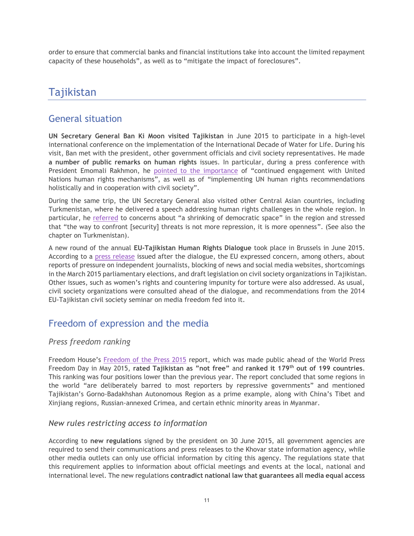order to ensure that commercial banks and financial institutions take into account the limited repayment capacity of these households", as well as to "mitigate the impact of foreclosures".

# <span id="page-12-0"></span>Tajikistan

# <span id="page-12-1"></span>General situation

**UN Secretary General Ban Ki Moon visited Tajikistan** in June 2015 to participate in a high-level international conference on the implementation of the International Decade of Water for Life. During his visit, Ban met with the president, other government officials and civil society representatives. He made **a number of public remarks on human rights** issues. In particular, during a press conference with President Emomali Rakhmon, he [pointed to the importance](http://www.un.org/apps/news/story.asp?NewsID=51096#.VdsvRn3bF-w) of "continued engagement with United Nations human rights mechanisms", as well as of "implementing UN human rights recommendations holistically and in cooperation with civil society".

During the same trip, the UN Secretary General also visited other Central Asian countries, including Turkmenistan, where he delivered a speech addressing human rights challenges in the whole region. In particular, he [referred](http://www.un.org/sg/statements/index.asp?nid=8723) to concerns about "a shrinking of democratic space" in the region and stressed that "the way to confront [security] threats is not more repression, it is more openness". (See also the chapter on Turkmenistan).

A new round of the annual **EU-Tajikistan Human Rights Dialogue** took place in Brussels in June 2015. According to a [press release](http://eeas.europa.eu/statements-eeas/2015/150612_02_en.htm) issued after the dialogue, the EU expressed concern, among others, about reports of pressure on independent journalists, blocking of news and social media websites, shortcomings in the March 2015 parliamentary elections, and draft legislation on civil society organizations in Tajikistan. Other issues, such as women's rights and countering impunity for torture were also addressed. As usual, civil society organizations were consulted ahead of the dialogue, and recommendations from the 2014 EU-Tajikistan civil society seminar on media freedom fed into it.

# <span id="page-12-2"></span>Freedom of expression and the media

### *Press freedom ranking*

Freedom House's [Freedom of the Press 2015](https://freedomhouse.org/sites/default/files/FreedomofthePress_2015_FINAL.pdf) report, which was made public ahead of the World Press Freedom Day in May 2015, **rated Tajikistan as "not free"** and **ranked it 179th out of 199 countries**. This ranking was four positions lower than the previous year. The report concluded that some regions in the world "are deliberately barred to most reporters by repressive governments" and mentioned Tajikistan's Gorno-Badakhshan Autonomous Region as a prime example, along with China's Tibet and Xinjiang regions, Russian-annexed Crimea, and certain ethnic minority areas in Myanmar.

### *New rules restricting access to information*

According to **new regulations** signed by the president on 30 June 2015, all government agencies are required to send their communications and press releases to the Khovar state information agency, while other media outlets can only use official information by citing this agency. The regulations state that this requirement applies to information about official meetings and events at the local, national and international level. The new regulations **contradict national law that guarantees all media equal access**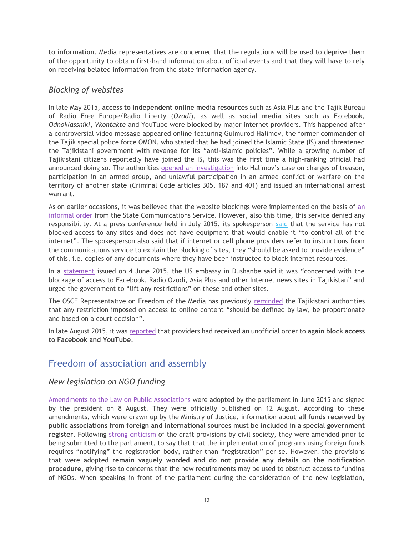**to information**. Media representatives are concerned that the regulations will be used to deprive them of the opportunity to obtain first-hand information about official events and that they will have to rely on receiving belated information from the state information agency.

#### *Blocking of websites*

In late May 2015, **access to independent online media resources** such as Asia Plus and the Tajik Bureau of Radio Free Europe/Radio Liberty (*Ozodi*), as well as **social media sites** such as Facebook, *Odnoklassniki*, *Vkontakte* and YouTube were **blocked** by major internet providers. This happened after a controversial video message appeared online featuring Gulmurod Halimov, the former commander of the Tajik special police force OMON, who stated that he had joined the Islamic State (IS) and threatened the Tajikistani government with revenge for its "anti-Islamic policies". While a growing number of Tajikistani citizens reportedly have joined the IS, this was the first time a high-ranking official had announced doing so. The authorities opened [an investigation](http://www.asiaplus.tj/en/news/tajik-law-enforcement-authorities-launches-investigation-former-omon-commander) into Halimov's case on charges of treason, participation in an armed group, and unlawful participation in an armed conflict or warfare on the territory of another state (Criminal Code articles 305, 187 and 401) and issued an international arrest warrant.

As on earlier occasions, it was believed that the website blockings were implemented on the basis of [an](http://www.asiaplus.tj/en/news/asia-plus-site-and-number-other-news-sites-inaccessible-tajikistan-0)  [informal order](http://www.asiaplus.tj/en/news/asia-plus-site-and-number-other-news-sites-inaccessible-tajikistan-0) from the State Communications Service. However, also this time, this service denied any responsibility. At a press conference held in July 2015, its spokesperson [said](http://web.news.tj/ru/news/sluzhba-svyazi-pust-operatory-dokazhut-chto-my-blokiruem-saity) that the service has not blocked access to any sites and does not have equipment that would enable it "to control all of the internet". The spokesperson also said that if internet or cell phone providers refer to instructions from the communications service to explain the blocking of sites, they "should be asked to provide evidence" of this, i.e. copies of any documents where they have been instructed to block internet resources.

In a [statement](http://dushanbe.usembassy.gov/pr_06042015.html) issued on 4 June 2015, the US embassy in Dushanbe said it was "concerned with the blockage of access to Facebook, Radio Ozodi, Asia Plus and other Internet news sites in Tajikistan" and urged the government to "lift any restrictions" on these and other sites.

The OSCE Representative on Freedom of the Media has previously [reminded](http://www.osce.org/fom/119670) the Tajikistani authorities that any restriction imposed on access to online content "should be defined by law, be proportionate and based on a court decision".

In late August 2015, it was [reported](http://rus.ozodi.org/content/article/27207222.html) that providers had received an unofficial order to **again block access to Facebook and YouTube**.

# <span id="page-13-0"></span>Freedom of association and assembly

### *New legislation on NGO funding*

[Amendments to the Law on Public Associations](http://minjust.tj/index.php?option=com_content&view=article&id=72&Itemid=82&lang=ru) were adopted by the parliament in June 2015 and signed by the president on 8 August. They were officially published on 12 August. According to these amendments, which were drawn up by the Ministry of Justice, information about **all funds received by public associations from foreign and international sources must be included in a special government register**. Following [strong criticism](http://www.iphronline.org/tajikistan-ngo-law-appeal-20141125.html) of the draft provisions by civil society, they were amended prior to being submitted to the parliament, to say that that the implementation of programs using foreign funds requires "notifying" the registration body, rather than "registration" per se. However, the provisions that were adopted **remain vaguely worded and do not provide any details on the notification procedure**, giving rise to concerns that the new requirements may be used to obstruct access to funding of NGOs. When speaking in front of the parliament during the consideration of the new legislation,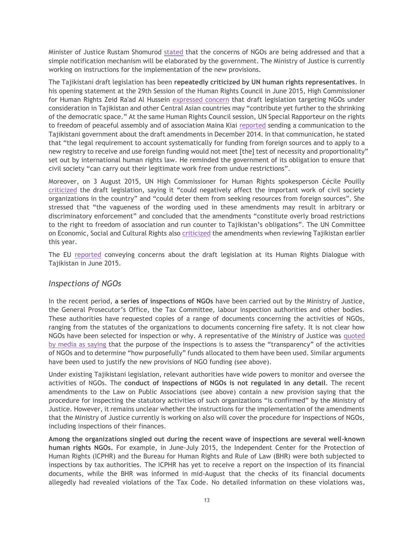Minister of Justice Rustam Shomurod [stated](http://news.tj/ru/news/granty-npo-tadzhikistana-budut-pod-kontrolem-vlastei) that the concerns of NGOs are being addressed and that a simple notification mechanism will be elaborated by the government. The Ministry of Justice is currently working on instructions for the implementation of the new provisions.

The Tajikistani draft legislation has been **repeatedly criticized by UN human rights representatives**. In his opening statement at the 29th Session of the Human Rights Council in June 2015, High Commissioner for Human Rights Zeid Ra'ad Al Hussein [expressed concern](http://www.ohchr.org/EN/NewsEvents/Pages/DisplayNews.aspx?NewsID=16074&LangID=E) that draft legislation targeting NGOs under consideration in Tajikistan and other Central Asian countries may "contribute yet further to the shrinking of the democratic space." At the same Human Rights Council session, UN Special Rapporteur on the rights to freedom of peaceful assembly and of association Maina Kiai [reported](http://freeassembly.net/wp-content/uploads/2015/06/Communications-report-2015.pdf) sending a communication to the Tajikistani government about the draft amendments in December 2014. In that communication, he stated that "the legal requirement to account systematically for funding from foreign sources and to apply to a new registry to receive and use foreign funding would not meet [the] test of necessity and proportionality" set out by international human rights law. He reminded the government of its obligation to ensure that civil society "can carry out their legitimate work free from undue restrictions".

Moreover, on 3 August 2015, UN High Commissioner for Human Rights spokesperson Cécile Pouilly [criticized](http://www.ohchr.org/EN/NewsEvents/Pages/DisplayNews.aspx?NewsID=16288&LangID=E) the draft legislation, saying it "could negatively affect the important work of civil society organizations in the country" and "could deter them from seeking resources from foreign sources". She stressed that "the vagueness of the wording used in these amendments may result in arbitrary or discriminatory enforcement" and concluded that the amendments "constitute overly broad restrictions to the right to freedom of association and run counter to Tajikistan's obligations". The UN Committee on Economic, Social and Cultural Rights also [criticized](http://tbinternet.ohchr.org/_layouts/treatybodyexternal/Download.aspx?symbolno=E%2fC.12%2fTJK%2fCO%2f2-3&Lang=en) the amendments when reviewing Tajikistan earlier this year.

The EU [reported](http://eeas.europa.eu/statements-eeas/2015/150612_02_en.htm) conveying concerns about the draft legislation at its Human Rights Dialogue with Tajikistan in June 2015.

#### *Inspections of NGOs*

In the recent period, **a series of inspections of NGOs** have been carried out by the Ministry of Justice, the General Prosecutor's Office, the Tax Committee, labour inspection authorities and other bodies. These authorities have requested copies of a range of documents concerning the activities of NGOs, ranging from the statutes of the organizations to documents concerning fire safety. It is not clear how NGOs have been selected for inspection or why. A representative of the Ministry of Justice was [quoted](http://rus.ozodi.org/content/article/27108079.html)  [by media as saying](http://rus.ozodi.org/content/article/27108079.html) that the purpose of the inspections is to assess the "transparency" of the activities of NGOs and to determine "how purposefully" funds allocated to them have been used. Similar arguments have been used to justify the new provisions of NGO funding (see above).

Under existing Tajikistani legislation, relevant authorities have wide powers to monitor and oversee the activities of NGOs. The **conduct of inspections of NGOs is not regulated in any detail**. The recent amendments to the Law on Public Associations (see above) contain a new provision saying that the procedure for inspecting the statutory activities of such organizations "is confirmed" by the Ministry of Justice. However, it remains unclear whether the instructions for the implementation of the amendments that the Ministry of Justice currently is working on also will cover the procedure for inspections of NGOs, including inspections of their finances.

**Among the organizations singled out during the recent wave of inspections are several well-known human rights NGOs.** For example, in June-July 2015, the Independent Center for the Protection of Human Rights (ICPHR) and the Bureau for Human Rights and Rule of Law (BHR) were both subjected to inspections by tax authorities. The ICPHR has yet to receive a report on the inspection of its financial documents, while the BHR was informed in mid-August that the checks of its financial documents allegedly had revealed violations of the Tax Code. No detailed information on these violations was,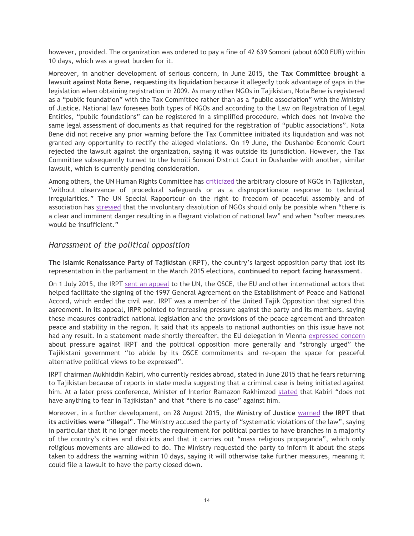however, provided. The organization was ordered to pay a fine of 42 639 Somoni (about 6000 EUR) within 10 days, which was a great burden for it.

Moreover, in another development of serious concern, in June 2015, the **Tax Committee brought a lawsuit against Nota Bene**, **requesting its liquidation** because it allegedly took advantage of gaps in the legislation when obtaining registration in 2009. As many other NGOs in Tajikistan, Nota Bene is registered as a "public foundation" with the Tax Committee rather than as a "public association" with the Ministry of Justice. National law foresees both types of NGOs and according to the Law on Registration of Legal Entities, "public foundations" can be registered in a simplified procedure, which does not involve the same legal assessment of documents as that required for the registration of "public associations". Nota Bene did not receive any prior warning before the Tax Committee initiated its liquidation and was not granted any opportunity to rectify the alleged violations. On 19 June, the Dushanbe Economic Court rejected the lawsuit against the organization, saying it was outside its jurisdiction. However, the Tax Committee subsequently turned to the Ismoili Somoni District Court in Dushanbe with another, similar lawsuit, which is currently pending consideration.

Among others, the UN Human Rights Committee has [criticized](http://tbinternet.ohchr.org/_layouts/treatybodyexternal/Download.aspx?symbolno=CCPR/C/TJK/CO/2&Lang=En) the arbitrary closure of NGOs in Tajikistan, "without observance of procedural safeguards or as a disproportionate response to technical irregularities." The UN Special Rapporteur on the right to freedom of peaceful assembly and of association has [stressed](http://freeassembly.net/wp-content/uploads/2014/11/Association-rights-factsheet-final-v2.pdf) that the involuntary dissolution of NGOs should only be possible when "there is a clear and imminent danger resulting in a flagrant violation of national law" and when "softer measures would be insufficient."

#### *Harassment of the political opposition*

**The Islamic Renaissance Party of Tajikistan** (IRPT), the country's largest opposition party that lost its representation in the parliament in the March 2015 elections, **continued to report facing harassment**.

On 1 July 2015, the IRPT [sent an appeal](http://www.news.tj/ru/node/210889) to the UN, the OSCE, the EU and other international actors that helped facilitate the signing of the 1997 General Agreement on the Establishment of Peace and National Accord, which ended the civil war. IRPT was a member of the United Tajik Opposition that signed this agreement. In its appeal, IRPR pointed to increasing pressure against the party and its members, saying these measures contradict national legislation and the provisions of the peace agreement and threaten peace and stability in the region. It said that its appeals to national authorities on this issue have not had any result. In a statement made shortly thereafter, the EU delegation in Vienna [expressed concern](http://eeas.europa.eu/delegations/vienna/documents/eu_osce/permanent_council/2015/pc_1061_eu_on_tajikistan.pdf) about pressure against IRPT and the political opposition more generally and "strongly urged" the Tajikistani government "to abide by its OSCE commitments and re-open the space for peaceful alternative political views to be expressed".

IRPT chairman Mukhiddin Kabiri, who currently resides abroad, stated in June 2015 that he fears returning to Tajikistan because of reports in state media suggesting that a criminal case is being initiated against him. At a later press conference, Minister of Interior Ramazon Rakhimzod [stated](http://news.tj/ru/news/rakhimzoda-lideru-pivt-v-tadzhikistane-nechego-boyatsya) that Kabiri "does not have anything to fear in Tajikistan" and that "there is no case" against him.

Moreover, in a further development, on 28 August 2015, the **Ministry of Justice** [warned](http://www.khovar.tj/rus/content/%D0%BC%D0%B8%D0%BD%D0%B8%D1%81%D1%82%D0%B5%D1%80%D1%81%D1%82%D0%B2%D0%BE-%D1%8E%D1%81%D1%82%D0%B8%D1%86%D0%B8%D0%B8-%C2%AB%D0%BF%D0%B0%D1%80%D1%82%D0%B8%D1%8F-%D0%B8%D1%81%D0%BB%D0%B0%D0%BC%D1%81%D0%BA%D0%BE%D0%B3%D0%BE-%D0%B2%D0%BE%D0%B7%D1%80%D0%BE%D0%B6%D0%B4%D0%B5%D0%BD%D0%B8%D1%8F-%D1%82%D0%B0%D0%B4%D0%B6%D0%B8%D0%BA%D0%B8%D1%81%D1%82%D0%B0%D0%BD%D0%B0-%D0%B1%D0%BE%D0%BB%D1%8C%D1%88%D0%B5-%D0%BD%D0%B5-%D1%8F%D0%B2%D0%BB%D1%8F%D0%B5%D1%82%D1%81%D1%8F) **the IRPT that its activities were "illegal"**. The Ministry accused the party of "systematic violations of the law", saying in particular that it no longer meets the requirement for political parties to have branches in a majority of the country's cities and districts and that it carries out "mass religious propaganda", which only religious movements are allowed to do. The Ministry requested the party to inform it about the steps taken to address the warning within 10 days, saying it will otherwise take further measures, meaning it could file a lawsuit to have the party closed down.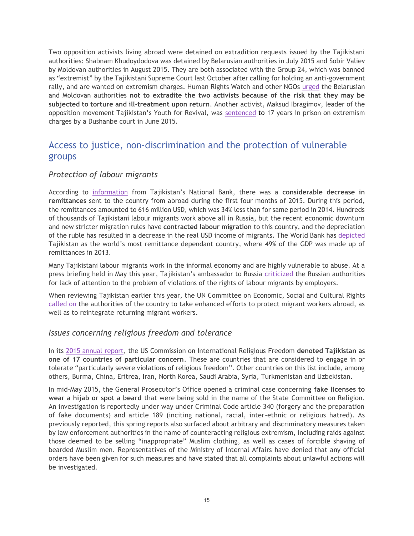Two opposition activists living abroad were detained on extradition requests issued by the Tajikistani authorities: Shabnam Khudoydodova was detained by Belarusian authorities in July 2015 and Sobir Valiev by Moldovan authorities in August 2015. They are both associated with the Group 24, which was banned as "extremist" by the Tajikistani Supreme Court last October after calling for holding an anti-government rally, and are wanted on extremism charges. Human Rights Watch and other NGOs [urged](http://www.hrw.org/news/2015/08/17/moldova-activist-faces-extradition-tajikistan) the Belarusian and Moldovan authorities **not to extradite the two activists because of the risk that they may be subjected to torture and ill-treatment upon return**. Another activist, Maksud Ibragimov, leader of the opposition movement Tajikistan's Youth for Revival, was [sentenced](http://catoday.org/centrasia/21018-v-tadzhikistane-cherez-mesyac-posle-prigovora-oppozicionnomu-politiku-ibragimovu-vyyasnilos-chto-on-osuzhden-na-17-let-a-ne-na-13.html) to 17 years in prison on extremism charges by a Dushanbe court in June 2015.

# <span id="page-16-0"></span>Access to justice, non-discrimination and the protection of vulnerable groups

### *Protection of labour migrants*

According to [information](http://m.rosbalt.ru/moscow/2015/06/01/1404026.html) from Tajikistan's National Bank, there was a **considerable decrease in remittances** sent to the country from abroad during the first four months of 2015. During this period, the remittances amounted to 616 million USD, which was 34% less than for same period in 2014. Hundreds of thousands of Tajikistani labour migrants work above all in Russia, but the recent economic downturn and new stricter migration rules have **contracted labour migration** to this country, and the depreciation of the ruble has resulted in a decrease in the real USD income of migrants. The World Bank has [depicted](http://www.worldbank.org/en/news/press-release/2015/04/13/remittances-growth-to-slow-sharply-in-2015-as-europe-and-russia-stay-weak-pick-up-expected-next-year) Tajikistan as the world's most remittance dependant country, where 49% of the GDP was made up of remittances in 2013.

Many Tajikistani labour migrants work in the informal economy and are highly vulnerable to abuse. At a press briefing held in May this year, Tajikistan's ambassador to Russia [criticized](http://www.tajembassy.ru/ru/press/news/10-politika/235-brifing-posla-rt-v-rf-imomuddina-sattorova-v-mia-rossiya-segodnya) the Russian authorities for lack of attention to the problem of violations of the rights of labour migrants by employers.

When reviewing Tajikistan earlier this year, the UN Committee on Economic, Social and Cultural Rights [called on](http://tbinternet.ohchr.org/_layouts/treatybodyexternal/Download.aspx?symbolno=E%2fC.12%2fTJK%2fCO%2f2-3&Lang=en) the authorities of the country to take enhanced efforts to protect migrant workers abroad, as well as to reintegrate returning migrant workers.

#### *Issues concerning religious freedom and tolerance*

In its [2015 annual report,](http://www.uscirf.gov/sites/default/files/USCIRF%20Annual%20Report%202015%20%282%29.pdf) the US Commission on International Religious Freedom **denoted Tajikistan as one of 17 countries of particular concern**. These are countries that are considered to engage in or tolerate "particularly severe violations of religious freedom". Other countries on this list include, among others, Burma, China, Eritrea, Iran, North Korea, Saudi Arabia, Syria, Turkmenistan and Uzbekistan.

In mid-May 2015, the General Prosecutor's Office opened a criminal case concerning **fake licenses to wear a hijab or spot a beard** that were being sold in the name of the State Committee on Religion. An investigation is reportedly under way under Criminal Code article 340 (forgery and the preparation of fake documents) and article 189 (inciting national, racial, inter-ethnic or religious hatred). As previously reported, this spring reports also surfaced about arbitrary and discriminatory measures taken by law enforcement authorities in the name of counteracting religious extremism, including raids against those deemed to be selling "inappropriate" Muslim clothing, as well as cases of forcible shaving of bearded Muslim men. Representatives of the Ministry of Internal Affairs have denied that any official orders have been given for such measures and have stated that all complaints about unlawful actions will be investigated.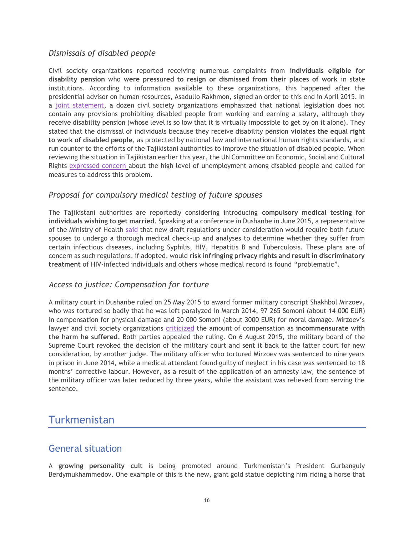### *Dismissals of disabled people*

Civil society organizations reported receiving numerous complaints from **individuals eligible for disability pension** who **were pressured to resign or dismissed from their places of work** in state institutions. According to information available to these organizations, this happened after the presidential advisor on human resources, Asadullo Rakhmon, signed an order to this end in April 2015. In a [joint statement,](http://news.tj/ru/news/ne-uvolnyaite-rabotayushchikh-invalidov) a dozen civil society organizations emphasized that national legislation does not contain any provisions prohibiting disabled people from working and earning a salary, although they receive disability pension (whose level is so low that it is virtually impossible to get by on it alone). They stated that the dismissal of individuals because they receive disability pension **violates the equal right to work of disabled people**, as protected by national law and international human rights standards, and run counter to the efforts of the Tajikistani authorities to improve the situation of disabled people. When reviewing the situation in Tajikistan earlier this year, the UN Committee on Economic, Social and Cultural Rights [expressed concern](http://tbinternet.ohchr.org/_layouts/treatybodyexternal/Download.aspx?symbolno=E%2fC.12%2fTJK%2fCO%2f2-3&Lang=en) about the high level of unemployment among disabled people and called for measures to address this problem.

#### *Proposal for compulsory medical testing of future spouses*

The Tajikistani authorities are reportedly considering introducing **compulsory medical testing for individuals wishing to get married**. Speaking at a conference in Dushanbe in June 2015, a representative of the Ministry of Health [said](http://www.interfax.by/news/world/1186357) that new draft regulations under consideration would require both future spouses to undergo a thorough medical check-up and analyses to determine whether they suffer from certain infectious diseases, including Syphilis, HIV, Hepatitis B and Tuberculosis. These plans are of concern as such regulations, if adopted, would **risk infringing privacy rights and result in discriminatory treatment** of HIV-infected individuals and others whose medical record is found "problematic".

#### *Access to justice: Compensation for torture*

A military court in Dushanbe ruled on 25 May 2015 to award former military conscript Shakhbol Mirzoev, who was tortured so badly that he was left paralyzed in March 2014, 97 265 Somoni (about 14 000 EUR) in compensation for physical damage and 20 000 Somoni (about 3000 EUR) for moral damage. Mirzoev's lawyer and civil society organizations [criticized](http://www.iphronline.org/raise-torture-cases-at-eu-tajikistan-human-rights-dialogue-20150611.html) the amount of compensation as **incommensurate with the harm he suffered**. Both parties appealed the ruling. On 6 August 2015, the military board of the Supreme Court revoked the decision of the military court and sent it back to the latter court for new consideration, by another judge. The military officer who tortured Mirzoev was sentenced to nine years in prison in June 2014, while a medical attendant found guilty of neglect in his case was sentenced to 18 months' corrective labour. However, as a result of the application of an amnesty law, the sentence of the military officer was later reduced by three years, while the assistant was relieved from serving the sentence.

# <span id="page-17-0"></span>Turkmenistan

# <span id="page-17-1"></span>General situation

A **growing personality cult** is being promoted around Turkmenistan's President Gurbanguly Berdymukhammedov. One example of this is the new, giant gold statue depicting him riding a horse that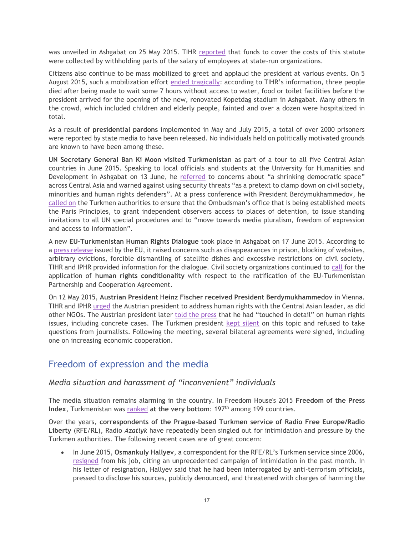was unveiled in Ashgabat on 25 May 2015. TIHR [reported](http://www.chrono-tm.org/en/2015/05/turkmenistans-population-is-preparing-a-gift-to-the-president/) that funds to cover the costs of this statute were collected by withholding parts of the salary of employees at state-run organizations.

Citizens also continue to be mass mobilized to greet and applaud the president at various events. On 5 August 2015, such a mobilization effort [ended tragically](http://www.chrono-tm.org/en/2015/08/three-fatalities-during-festivities/): according to TIHR's information, three people died after being made to wait some 7 hours without access to water, food or toilet facilities before the president arrived for the opening of the new, renovated Kopetdag stadium in Ashgabat. Many others in the crowd, which included children and elderly people, fainted and over a dozen were hospitalized in total.

As a result of **presidential pardons** implemented in May and July 2015, a total of over 2000 prisoners were reported by state media to have been released. No individuals held on politically motivated grounds are known to have been among these.

**UN Secretary General Ban Ki Moon visited Turkmenistan** as part of a tour to all five Central Asian countries in June 2015. Speaking to local officials and students at the University for Humanities and Development in Ashgabat on 13 June, he [referred](http://www.un.org/sg/statements/index.asp?nid=8723) to concerns about "a shrinking democratic space" across Central Asia and warned against using security threats "as a pretext to clamp down on civil society, minorities and human rights defenders". At a press conference with President Berdymukhammedov, he [called on](http://www.un.org/sg/offthecuff/index.asp?nid=3987) the Turkmen authorities to ensure that the Ombudsman's office that is being established meets the Paris Principles, to grant independent observers access to places of detention, to issue standing invitations to all UN special procedures and to "move towards media pluralism, freedom of expression and access to information".

A new **EU-Turkmenistan Human Rights Dialogue** took place in Ashgabat on 17 June 2015. According to a [press release](http://eeas.europa.eu/statements-eeas/2015/150617_08_en.htm) issued by the EU, it raised concerns such as disappearances in prison, blocking of websites, arbitrary evictions, forcible dismantling of satellite dishes and excessive restrictions on civil society. TIHR and IPHR provided information for the dialogue. Civil society organizations continued to [call](http://www.iphronline.org/call-for-strong-human-rights-conditions-for-the-ratification-of-eu-turkmenistan-pca-20150529.html) for the application of **human rights conditionality** with respect to the ratification of the EU-Turkmenistan Partnership and Cooperation Agreement.

On 12 May 2015, **Austrian President Heinz Fischer received President Berdymukhammedov** in Vienna. TIHR and IPHR [urged](http://www.iphronline.org/letter-to-austrian-president-on-turkmenistan-20150511.html) the Austrian president to address human rights with the Central Asian leader, as did other NGOs. The Austrian president later [told the press](http://www.bundespraesident.at/newsdetail/artikel/turkmenischer-praesident-bei-bundespraesident-heinz-fischer-auch-menschenrechte-thema/) that he had "touched in detail" on human rights issues, including concrete cases. The Turkmen president [kept silent](http://www.chrono-tm.org/en/2015/05/berdymukhamedov-refuses-to-give-a-press-conference-in-vienna/) on this topic and refused to take questions from journalists. Following the meeting, several bilateral agreements were signed, including one on increasing economic cooperation.

# <span id="page-18-0"></span>Freedom of expression and the media

### *Media situation and harassment of "inconvenient" individuals*

The media situation remains alarming in the country. In Freedom House's 2015 **Freedom of the Press**  Index, Turkmenistan was [ranked](https://freedomhouse.org/report/freedom-press-2015/harsh-laws-and-violence-drive-global-decline) at the very bottom: 197<sup>th</sup> among 199 countries.

Over the years, **correspondents of the Prague-based Turkmen service of Radio Free Europe/Radio Liberty** (RFE/RL), Radio *Azatlyk* have repeatedly been singled out for intimidation and pressure by the Turkmen authorities. The following recent cases are of great concern:

 In June 2015, **Osmankuly Hallyev**, a correspondent for the RFE/RL's Turkmen service since 2006, [resigned](http://www.rferl.org/content/journalists-in-trouble-turkmen-journalist-harassed/27060935.html) from his job, citing an unprecedented campaign of intimidation in the past month. In his letter of resignation, Hallyev said that he had been interrogated by anti-terrorism officials, pressed to disclose his sources, publicly denounced, and threatened with charges of harming the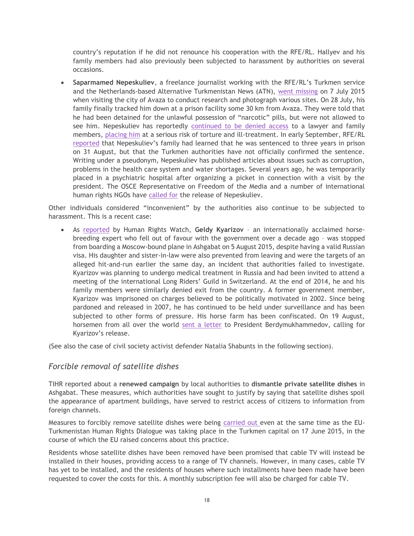country's reputation if he did not renounce his cooperation with the RFE/RL. Hallyev and his family members had also previously been subjected to harassment by authorities on several occasions.

 **Saparmamed Nepeskuliev**, a freelance journalist working with the RFE/RL's Turkmen service and the Netherlands-based Alternative Turkmenistan News (ATN), [went missing](http://www.fergananews.com/news/23693) on 7 July 2015 when visiting the city of Avaza to conduct research and photograph various sites. On 28 July, his family finally tracked him down at a prison facility some 30 km from Avaza. They were told that he had been detained for the unlawful possession of "narcotic" pills, but were not allowed to see him. Nepeskuliev has reportedly [continued to be denied access](http://www.rferl.org/content/turkmenistan-rferl-detained-correspondent/27205876.html) to a lawyer and family members, [placing him](https://www.hrw.org/news/2015/07/30/turkmenistan-free-rights-activist-immediately) at a serious risk of torture and ill-treatment. In early September, RFE/RL [reported](http://www.rferl.org/content/turkmenistan-rferl-correspondent-rsf-concern/27233417.html) that Nepeskuliev's family had learned that he was sentenced to three years in prison on 31 August, but that the Turkmen authorities have not officially confirmed the sentence. Writing under a pseudonym, Nepeskuliev has published articles about issues such as corruption, problems in the health care system and water shortages. Several years ago, he was temporarily placed in a psychiatric hospital after organizing a picket in connection with a visit by the president. The OSCE Representative on Freedom of the Media and a number of international human rights NGOs have [called for](http://www.osce.org/fom/176726) the release of Nepeskuliev.

Other individuals considered "inconvenient" by the authorities also continue to be subjected to harassment. This is a recent case:

 As [reported](http://www.hrw.org:8080/news/2015/08/13/turkmenistan-expert-blocked-leaving-country) by Human Rights Watch, **Geldy Kyarizov** – an internationally acclaimed horsebreeding expert who fell out of favour with the government over a decade ago – was stopped from boarding a Moscow-bound plane in Ashgabat on 5 August 2015, despite having a valid Russian visa. His daughter and sister-in-law were also prevented from leaving and were the targets of an alleged hit-and-run earlier the same day, an incident that authorities failed to investigate. Kyarizov was planning to undergo medical treatment in Russia and had been invited to attend a meeting of the international Long Riders' Guild in Switzerland. At the end of 2014, he and his family members were similarly denied exit from the country. A former government member, Kyarizov was imprisoned on charges believed to be politically motivated in 2002. Since being pardoned and released in 2007, he has continued to be held under surveillance and has been subjected to other forms of pressure. His horse farm has been confiscated. On 19 August, horsemen from all over the world [sent a letter](http://www.chrono-tm.org/en/2015/08/worlds-horsemen-call-for-liberty-of-former-turkmen-horse-ministerconcentration-camp-survivor/) to President Berdymukhammedov, calling for Kyarizov's release.

(See also the case of civil society activist defender Natalia Shabunts in the following section).

#### *Forcible removal of satellite dishes*

TIHR reported about a **renewed campaign** by local authorities to **dismantle private satellite dishes** in Ashgabat. These measures, which authorities have sought to justify by saying that satellite dishes spoil the appearance of apartment buildings, have served to restrict access of citizens to information from foreign channels.

Measures to forcibly remove satellite dishes were being [carried out](http://www.chrono-tm.org/en/2015/06/barbarian-dismantling-of-satellite-aerials-in-ashgabat/) even at the same time as the EU-Turkmenistan Human Rights Dialogue was taking place in the Turkmen capital on 17 June 2015, in the course of which the EU raised concerns about this practice.

Residents whose satellite dishes have been removed have been promised that cable TV will instead be installed in their houses, providing access to a range of TV channels. However, in many cases, cable TV has yet to be installed, and the residents of houses where such installments have been made have been requested to cover the costs for this. A monthly subscription fee will also be charged for cable TV.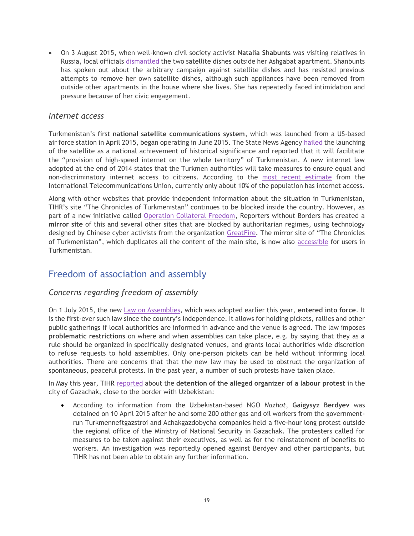On 3 August 2015, when well-known civil society activist **Natalia Shabunts** was visiting relatives in Russia, local officials [dismantled](http://www.chrono-tm.org/en/2015/08/quiet-revenge-of-ashgabat-authorities/) the two satellite dishes outside her Ashgabat apartment. Shanbunts has spoken out about the arbitrary campaign against satellite dishes and has resisted previous attempts to remove her own satellite dishes, although such appliances have been removed from outside other apartments in the house where she lives. She has repeatedly faced intimidation and pressure because of her civic engagement.

#### *Internet access*

Turkmenistan's first **national satellite communications system**, which was launched from a US-based air force station in April 2015, began operating in June 2015. The State News Agency [hailed](http://www.turkmenistan.gov.tm/_eng/?id=4767) the launching of the satellite as a national achievement of historical significance and reported that it will facilitate the "provision of high-speed internet on the whole territory" of Turkmenistan. A new internet law adopted at the end of 2014 states that the Turkmen authorities will take measures to ensure equal and non-discriminatory internet access to citizens. According to the [most recent estimate](http://www.itu.int/ITU-D/ict/statistics/index.html) from the International Telecommunications Union, currently only about 10% of the population has internet access.

Along with other websites that provide independent information about the situation in Turkmenistan, TIHR's site "The Chronicles of Turkmenistan" continues to be blocked inside the country. However, as part of a new initiative called [Operation Collateral Freedom,](http://12mars.rsf.org/2015-en/collateralfreedom-foiling-censorship-in-12-anti-internet-countries-a-modifier/) Reporters without Borders has created a **mirror site** of this and several other sites that are blocked by authoritarian regimes, using technology designed by Chinese cyber activists from the organization [GreatFire.](https://en.greatfire.org/) The mirror site of "The Chronicles of Turkmenistan", which duplicates all the content of the main site, is now also [accessible](http://www.chrono-tm.org/en/2015/05/mirror-of-our-website-is-now-accessible-in-turkmenistan/) for users in Turkmenistan.

# <span id="page-20-0"></span>Freedom of association and assembly

### *Concerns regarding freedom of assembly*

On 1 July 2015, the new [Law on Assemblies,](http://turkmenistan.gov.tm/?id=8344) which was adopted earlier this year, **entered into force**. It is the first-ever such law since the country's independence. It allows for holding pickets, rallies and other public gatherings if local authorities are informed in advance and the venue is agreed. The law imposes **problematic restrictions** on where and when assemblies can take place, e.g. by saying that they as a rule should be organized in specifically designated venues, and grants local authorities wide discretion to refuse requests to hold assemblies. Only one-person pickets can be held without informing local authorities. There are concerns that that the new law may be used to obstruct the organization of spontaneous, peaceful protests. In the past year, a number of such protests have taken place.

In May this year, TIHR [reported](http://www.chrono-tm.org/en/2015/05/turkmenistans-oil-and-gas-sector-faces-internal-problems/) about the **detention of the alleged organizer of a labour protest** in the city of Gazachak, close to the border with Uzbekistan:

 According to information from the Uzbekistan-based NGO *Nazhot*, **Gaigysyz Berdyev** was detained on 10 April 2015 after he and some 200 other gas and oil workers from the governmentrun Turkmenneftgazstroi and Achakgazdobycha companies held a five-hour long protest outside the regional office of the Ministry of National Security in Gazachak. The protesters called for measures to be taken against their executives, as well as for the reinstatement of benefits to workers. An investigation was reportedly opened against Berdyev and other participants, but TIHR has not been able to obtain any further information.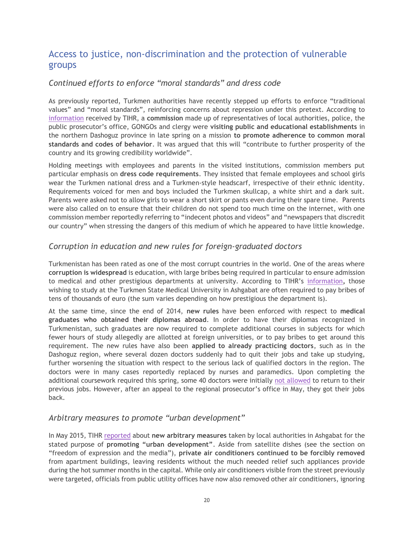# <span id="page-21-0"></span>Access to justice, non-discrimination and the protection of vulnerable groups

### *Continued efforts to enforce "moral standards" and dress code*

As previously reported, Turkmen authorities have recently stepped up efforts to enforce "traditional values" and "moral standards", reinforcing concerns about repression under this pretext. According to [information](http://www.chrono-tm.org/en/2015/04/commission-line-is-an-evil-damaging-moral-values-of-the-turkmen-youth/) received by TIHR, a **commission** made up of representatives of local authorities, police, the public prosecutor's office, GONGOs and clergy were **visiting public and educational establishments** in the northern Dashoguz province in late spring on a mission **to promote adherence to common moral standards and codes of behavior**. It was argued that this will "contribute to further prosperity of the country and its growing credibility worldwide".

Holding meetings with employees and parents in the visited institutions, commission members put particular emphasis on **dress code requirements**. They insisted that female employees and school girls wear the Turkmen national dress and a Turkmen-style headscarf, irrespective of their ethnic identity. Requirements voiced for men and boys included the Turkmen skullcap, a white shirt and a dark suit. Parents were asked not to allow girls to wear a short skirt or pants even during their spare time. Parents were also called on to ensure that their children do not spend too much time on the internet, with one commission member reportedly referring to "indecent photos and videos" and "newspapers that discredit our country" when stressing the dangers of this medium of which he appeared to have little knowledge.

#### *Corruption in education and new rules for foreign-graduated doctors*

Turkmenistan has been rated as one of the most corrupt countries in the world. One of the areas where **corruption is widespread** is education, with large bribes being required in particular to ensure admission to medical and other prestigious departments at university. According to TIHR's [information,](http://www.chrono-tm.org/en/2014/12/turkmen-doctors-with-foreign-diplomas/) those wishing to study at the Turkmen State Medical University in Ashgabat are often required to pay bribes of tens of thousands of euro (the sum varies depending on how prestigious the department is).

At the same time, since the end of 2014, **new rules** have been enforced with respect to **medical graduates who obtained their diplomas abroad**. In order to have their diplomas recognized in Turkmenistan, such graduates are now required to complete additional courses in subjects for which fewer hours of study allegedly are allotted at foreign universities, or to pay bribes to get around this requirement. The new rules have also been **applied to already practicing doctors**, such as in the Dashoguz region, where several dozen doctors suddenly had to quit their jobs and take up studying, further worsening the situation with respect to the serious lack of qualified doctors in the region. The doctors were in many cases reportedly replaced by nurses and paramedics. Upon completing the additional coursework required this spring, some 40 doctors were initially [not allowed](http://www.chrono-tm.org/en/2015/06/unwanted-doctors/) to return to their previous jobs. However, after an appeal to the regional prosecutor's office in May, they got their jobs back.

#### *Arbitrary measures to promote "urban development"*

In May 2015, TIHR [reported](http://www.chrono-tm.org/en/2015/05/war-against-air-conditioners-peace-for-officials/) about **new arbitrary measures** taken by local authorities in Ashgabat for the stated purpose of **promoting "urban development"**. Aside from satellite dishes (see the section on "freedom of expression and the media"), **private air conditioners continued to be forcibly removed** from apartment buildings, leaving residents without the much needed relief such appliances provide during the hot summer months in the capital. While only air conditioners visible from the street previously were targeted, officials from public utility offices have now also removed other air conditioners, ignoring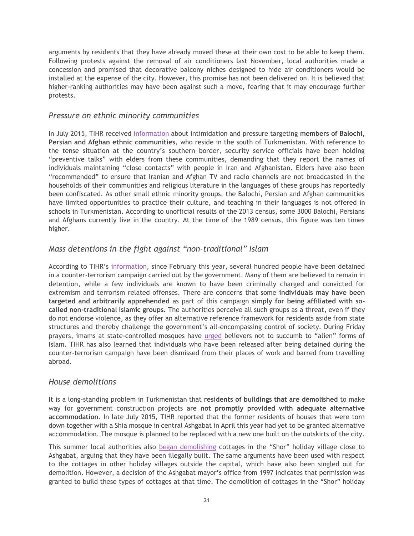arguments by residents that they have already moved these at their own cost to be able to keep them. Following protests against the removal of air conditioners last November, local authorities made a concession and promised that decorative balcony niches designed to hide air conditioners would be installed at the expense of the city. However, this promise has not been delivered on. It is believed that higher-ranking authorities may have been against such a move, fearing that it may encourage further protests.

#### *Pressure on ethnic minority communities*

In July 2015, TIHR received [information](http://www.chrono-tm.org/en/2015/07/turkmenistan-problems-of-ethnic-minorities/) about intimidation and pressure targeting **members of Balochi, Persian and Afghan ethnic communities**, who reside in the south of Turkmenistan. With reference to the tense situation at the country's southern border, security service officials have been holding "preventive talks" with elders from these communities, demanding that they report the names of individuals maintaining "close contacts" with people in Iran and Afghanistan. Elders have also been "recommended" to ensure that Iranian and Afghan TV and radio channels are not broadcasted in the households of their communities and religious literature in the languages of these groups has reportedly been confiscated. As other small ethnic minority groups, the Balochi, Persian and Afghan communities have limited opportunities to practice their culture, and teaching in their languages is not offered in schools in Turkmenistan. According to unofficial results of the 2013 census, some 3000 Balochi, Persians and Afghans currently live in the country. At the time of the 1989 census, this figure was ten times higher.

## *Mass detentions in the fight against "non-traditional" Islam*

According to TIHR's [information,](http://www.chrono-tm.org/en/2015/07/headcount-or-ideology-nsm-officials-and-police-officers-detained-in-turkmenistan-for-links-with-islamist-militants/) since February this year, several hundred people have been detained in a counter-terrorism campaign carried out by the government. Many of them are believed to remain in detention, while a few individuals are known to have been criminally charged and convicted for extremism and terrorism related offenses. There are concerns that some **individuals may have been targeted and arbitrarily apprehended** as part of this campaign **simply for being affiliated with socalled non-traditional Islamic groups.** The authorities perceive all such groups as a threat, even if they do not endorse violence, as they offer an alternative reference framework for residents aside from state structures and thereby challenge the government's all-encompassing control of society. During Friday prayers, imams at state-controlled mosques have [urged](http://www.chrono-tm.org/en/2015/03/turkmen-imams-call-on-to-combat-alien-religion/) believers not to succumb to "alien" forms of Islam. TIHR has also learned that individuals who have been released after being detained during the counter-terrorism campaign have been dismissed from their places of work and barred from travelling abroad.

#### *House demolitions*

It is a long-standing problem in Turkmenistan that **residents of buildings that are demolished** to make way for government construction projects are **not promptly provided with adequate alternative accommodation**. In late July 2015, TIHR reported that the former residents of houses that were torn down together with a Shia mosque in central Ashgabat in April this year had yet to be granted alternative accommodation. The mosque is planned to be replaced with a new one built on the outskirts of the city.

This summer local authorities also [began demolishing](http://www.chrono-tm.org/en/2015/08/all-summer-cottages-around-ashgabat-to-be-demolished/) cottages in the "Shor" holiday village close to Ashgabat, arguing that they have been illegally built. The same arguments have been used with respect to the cottages in other holiday villages outside the capital, which have also been singled out for demolition. However, a decision of the Ashgabat mayor's office from 1997 indicates that permission was granted to build these types of cottages at that time. The demolition of cottages in the "Shor" holiday